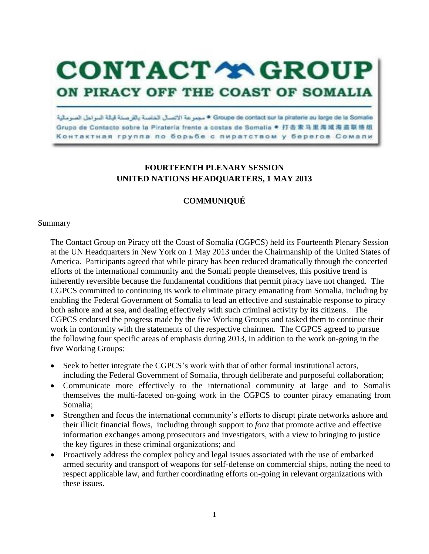**CONTACT TROUP** 

## ON PIRACY OFF THE COAST OF SOMALIA

Grouple de contact sur la piraterie au large de la Somalie \* مجموعة الاتصال الخاصة بالق صلة قبالة السواطل الصومالية Grupo de Contacto sobre la Pirateria frente a costas de Somalia ● 打击索马里海域海盗联络组 Контактная группа по борьбе с пиратством у берегов Сомали

## **FOURTEENTH PLENARY SESSION UNITED NATIONS HEADQUARTERS, 1 MAY 2013**

## **COMMUNIQUÉ**

## Summary

The Contact Group on Piracy off the Coast of Somalia (CGPCS) held its Fourteenth Plenary Session at the UN Headquarters in New York on 1 May 2013 under the Chairmanship of the United States of America. Participants agreed that while piracy has been reduced dramatically through the concerted efforts of the international community and the Somali people themselves, this positive trend is inherently reversible because the fundamental conditions that permit piracy have not changed. The CGPCS committed to continuing its work to eliminate piracy emanating from Somalia, including by enabling the Federal Government of Somalia to lead an effective and sustainable response to piracy both ashore and at sea, and dealing effectively with such criminal activity by its citizens. The CGPCS endorsed the progress made by the five Working Groups and tasked them to continue their work in conformity with the statements of the respective chairmen. The CGPCS agreed to pursue the following four specific areas of emphasis during 2013, in addition to the work on-going in the five Working Groups:

- Seek to better integrate the CGPCS's work with that of other formal institutional actors, including the Federal Government of Somalia, through deliberate and purposeful collaboration;
- Communicate more effectively to the international community at large and to Somalis themselves the multi-faceted on-going work in the CGPCS to counter piracy emanating from Somalia;
- Strengthen and focus the international community's efforts to disrupt pirate networks ashore and their illicit financial flows, including through support to *fora* that promote active and effective information exchanges among prosecutors and investigators, with a view to bringing to justice the key figures in these criminal organizations; and
- Proactively address the complex policy and legal issues associated with the use of embarked armed security and transport of weapons for self-defense on commercial ships, noting the need to respect applicable law, and further coordinating efforts on-going in relevant organizations with these issues.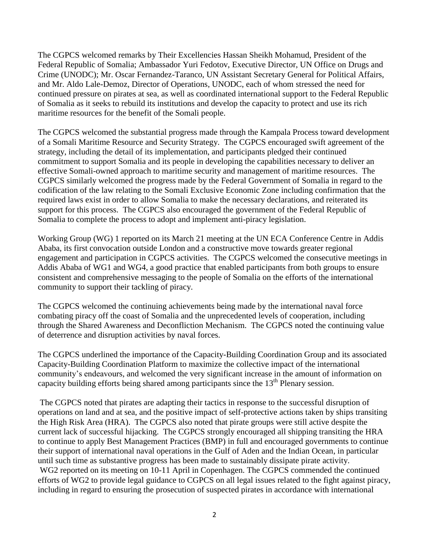The CGPCS welcomed remarks by Their Excellencies Hassan Sheikh Mohamud, President of the Federal Republic of Somalia; Ambassador Yuri Fedotov, Executive Director, UN Office on Drugs and Crime (UNODC); Mr. Oscar Fernandez-Taranco, UN Assistant Secretary General for Political Affairs, and Mr. Aldo Lale-Demoz, Director of Operations, UNODC, each of whom stressed the need for continued pressure on pirates at sea, as well as coordinated international support to the Federal Republic of Somalia as it seeks to rebuild its institutions and develop the capacity to protect and use its rich maritime resources for the benefit of the Somali people.

The CGPCS welcomed the substantial progress made through the Kampala Process toward development of a Somali Maritime Resource and Security Strategy. The CGPCS encouraged swift agreement of the strategy, including the detail of its implementation, and participants pledged their continued commitment to support Somalia and its people in developing the capabilities necessary to deliver an effective Somali-owned approach to maritime security and management of maritime resources. The CGPCS similarly welcomed the progress made by the Federal Government of Somalia in regard to the codification of the law relating to the Somali Exclusive Economic Zone including confirmation that the required laws exist in order to allow Somalia to make the necessary declarations, and reiterated its support for this process. The CGPCS also encouraged the government of the Federal Republic of Somalia to complete the process to adopt and implement anti-piracy legislation.

Working Group (WG) 1 reported on its March 21 meeting at the UN ECA Conference Centre in Addis Ababa, its first convocation outside London and a constructive move towards greater regional engagement and participation in CGPCS activities. The CGPCS welcomed the consecutive meetings in Addis Ababa of WG1 and WG4, a good practice that enabled participants from both groups to ensure consistent and comprehensive messaging to the people of Somalia on the efforts of the international community to support their tackling of piracy.

The CGPCS welcomed the continuing achievements being made by the international naval force combating piracy off the coast of Somalia and the unprecedented levels of cooperation, including through the Shared Awareness and Deconfliction Mechanism. The CGPCS noted the continuing value of deterrence and disruption activities by naval forces.

The CGPCS underlined the importance of the Capacity-Building Coordination Group and its associated Capacity-Building Coordination Platform to maximize the collective impact of the international community's endeavours, and welcomed the very significant increase in the amount of information on capacity building efforts being shared among participants since the  $13<sup>th</sup>$  Plenary session.

The CGPCS noted that pirates are adapting their tactics in response to the successful disruption of operations on land and at sea, and the positive impact of self-protective actions taken by ships transiting the High Risk Area (HRA). The CGPCS also noted that pirate groups were still active despite the current lack of successful hijacking. The CGPCS strongly encouraged all shipping transiting the HRA to continue to apply Best Management Practices (BMP) in full and encouraged governments to continue their support of international naval operations in the Gulf of Aden and the Indian Ocean, in particular until such time as substantive progress has been made to sustainably dissipate pirate activity. WG2 reported on its meeting on 10-11 April in Copenhagen. The CGPCS commended the continued efforts of WG2 to provide legal guidance to CGPCS on all legal issues related to the fight against piracy, including in regard to ensuring the prosecution of suspected pirates in accordance with international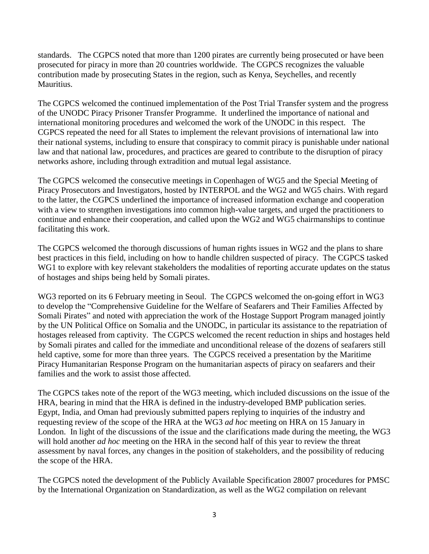standards. The CGPCS noted that more than 1200 pirates are currently being prosecuted or have been prosecuted for piracy in more than 20 countries worldwide. The CGPCS recognizes the valuable contribution made by prosecuting States in the region, such as Kenya, Seychelles, and recently Mauritius.

The CGPCS welcomed the continued implementation of the Post Trial Transfer system and the progress of the UNODC Piracy Prisoner Transfer Programme. It underlined the importance of national and international monitoring procedures and welcomed the work of the UNODC in this respect. The CGPCS repeated the need for all States to implement the relevant provisions of international law into their national systems, including to ensure that conspiracy to commit piracy is punishable under national law and that national law, procedures, and practices are geared to contribute to the disruption of piracy networks ashore, including through extradition and mutual legal assistance.

The CGPCS welcomed the consecutive meetings in Copenhagen of WG5 and the Special Meeting of Piracy Prosecutors and Investigators, hosted by INTERPOL and the WG2 and WG5 chairs. With regard to the latter, the CGPCS underlined the importance of increased information exchange and cooperation with a view to strengthen investigations into common high-value targets, and urged the practitioners to continue and enhance their cooperation, and called upon the WG2 and WG5 chairmanships to continue facilitating this work.

The CGPCS welcomed the thorough discussions of human rights issues in WG2 and the plans to share best practices in this field, including on how to handle children suspected of piracy. The CGPCS tasked WG1 to explore with key relevant stakeholders the modalities of reporting accurate updates on the status of hostages and ships being held by Somali pirates.

WG3 reported on its 6 February meeting in Seoul. The CGPCS welcomed the on-going effort in WG3 to develop the "Comprehensive Guideline for the Welfare of Seafarers and Their Families Affected by Somali Pirates" and noted with appreciation the work of the Hostage Support Program managed jointly by the UN Political Office on Somalia and the UNODC, in particular its assistance to the repatriation of hostages released from captivity. The CGPCS welcomed the recent reduction in ships and hostages held by Somali pirates and called for the immediate and unconditional release of the dozens of seafarers still held captive, some for more than three years. The CGPCS received a presentation by the Maritime Piracy Humanitarian Response Program on the humanitarian aspects of piracy on seafarers and their families and the work to assist those affected.

The CGPCS takes note of the report of the WG3 meeting, which included discussions on the issue of the HRA, bearing in mind that the HRA is defined in the industry-developed BMP publication series. Egypt, India, and Oman had previously submitted papers replying to inquiries of the industry and requesting review of the scope of the HRA at the WG3 *ad hoc* meeting on HRA on 15 January in London. In light of the discussions of the issue and the clarifications made during the meeting, the WG3 will hold another *ad hoc* meeting on the HRA in the second half of this year to review the threat assessment by naval forces, any changes in the position of stakeholders, and the possibility of reducing the scope of the HRA.

The CGPCS noted the development of the Publicly Available Specification 28007 procedures for PMSC by the International Organization on Standardization, as well as the WG2 compilation on relevant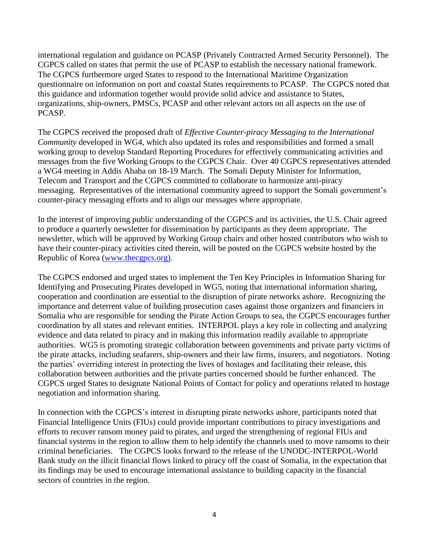international regulation and guidance on PCASP (Privately Contracted Armed Security Personnel). The CGPCS called on states that permit the use of PCASP to establish the necessary national framework. The CGPCS furthermore urged States to respond to the International Maritime Organization questionnaire on information on port and coastal States requirements to PCASP. The CGPCS noted that this guidance and information together would provide solid advice and assistance to States, organizations, ship-owners, PMSCs, PCASP and other relevant actors on all aspects on the use of PCASP.

The CGPCS received the proposed draft of *Effective Counter-piracy Messaging to the International Community* developed in WG4, which also updated its roles and responsibilities and formed a small working group to develop Standard Reporting Procedures for effectively communicating activities and messages from the five Working Groups to the CGPCS Chair. Over 40 CGPCS representatives attended a WG4 meeting in Addis Ababa on 18-19 March. The Somali Deputy Minister for Information, Telecom and Transport and the CGPCS committed to collaborate to harmonize anti-piracy messaging. Representatives of the international community agreed to support the Somali government's counter-piracy messaging efforts and to align our messages where appropriate.

In the interest of improving public understanding of the CGPCS and its activities, the U.S. Chair agreed to produce a quarterly newsletter for dissemination by participants as they deem appropriate. The newsletter, which will be approved by Working Group chairs and other hosted contributors who wish to have their counter-piracy activities cited therein, will be posted on the CGPCS website hosted by the Republic of Korea [\(www.thecgpcs.org\).](http://www.thecgpcs.org)/)

The CGPCS endorsed and urged states to implement the Ten Key Principles in Information Sharing for Identifying and Prosecuting Pirates developed in WG5, noting that international information sharing, cooperation and coordination are essential to the disruption of pirate networks ashore. Recognizing the importance and deterrent value of building prosecution cases against those organizers and financiers in Somalia who are responsible for sending the Pirate Action Groups to sea, the CGPCS encourages further coordination by all states and relevant entities. INTERPOL plays a key role in collecting and analyzing evidence and data related to piracy and in making this information readily available to appropriate authorities. WG5 is promoting strategic collaboration between governments and private party victims of the pirate attacks, including seafarers, ship-owners and their law firms, insurers, and negotiators. Noting the parties' overriding interest in protecting the lives of hostages and facilitating their release, this collaboration between authorities and the private parties concerned should be further enhanced. The CGPCS urged States to designate National Points of Contact for policy and operations related to hostage negotiation and information sharing.

In connection with the CGPCS's interest in disrupting pirate networks ashore, participants noted that Financial Intelligence Units (FIUs) could provide important contributions to piracy investigations and efforts to recover ransom money paid to pirates, and urged the strengthening of regional FIUs and financial systems in the region to allow them to help identify the channels used to move ransoms to their criminal beneficiaries. The CGPCS looks forward to the release of the UNODC-INTERPOL-World Bank study on the illicit financial flows linked to piracy off the coast of Somalia, in the expectation that its findings may be used to encourage international assistance to building capacity in the financial sectors of countries in the region.